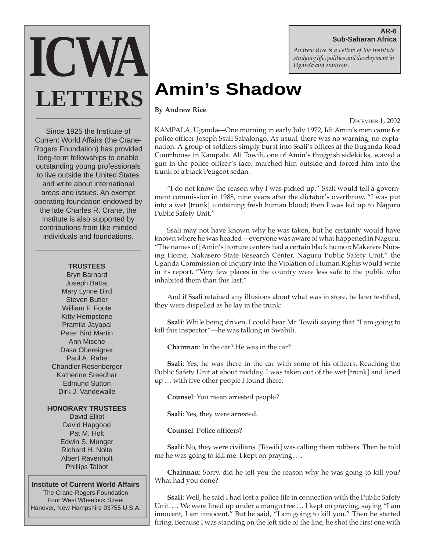## **AR-6 Sub-Saharan Africa**

*Andrew Rice is a Fellow of the Institute studying life, politics and development in Uganda and environs.*

# **Amin's Shadow**

**By Andrew Rice**

DECEMBER 1, 2002

KAMPALA, Uganda—One morning in early July 1972, Idi Amin's men came for police officer Joseph Ssali Sabalongo. As usual, there was no warning, no explanation. A group of soldiers simply burst into Ssali's offices at the Buganda Road Courthouse in Kampala. Ali Towili, one of Amin's thuggish sidekicks, waved a gun in the police officer's face, marched him outside and forced him into the trunk of a black Peugeot sedan.

"I do not know the reason why I was picked up," Ssali would tell a government commission in 1988, nine years after the dictator's overthrow. "I was put into a wet [trunk] containing fresh human blood; then I was led up to Naguru Public Safety Unit."

Ssali may not have known why he was taken, but he certainly would have known where he was headed—everyone was aware of what happened in Naguru. "The names of [Amin's] torture centers had a certain black humor: Makerere Nursing Home, Nakasero State Research Center, Naguru Public Safety Unit," the Uganda Commission of Inquiry into the Violation of Human Rights would write in its report. "Very few places in the country were less safe to the public who inhabited them than this last."

And if Ssali retained any illusions about what was in store, he later testified, they were dispelled as he lay in the trunk:

**Ssali**: While being driven, I could hear Mr. Towili saying that "I am going to kill this inspector"—he was talking in Swahili.

**Chairman**: In the car? He was in the car?

**Ssali**: Yes, he was there in the car with some of his officers. Reaching the Public Safety Unit at about midday, I was taken out of the wet [trunk] and lined up … with five other people I found there.

**Counsel**: You mean arrested people?

**Ssali**: Yes, they were arrested.

**Counsel**: Police officers?

**Ssali**: No, they were civilians. [Towili] was calling them robbers. Then he told me he was going to kill me. I kept on praying. …

**Chairman**: Sorry, did he tell you the reason why he was going to kill you? What had you done?

**Ssali**: Well, he said I had lost a police file in connection with the Public Safety Unit. … We were lined up under a mango tree … I kept on praying, saying "I am innocent, I am innocent." But he said, "I am going to kill you." Then he started firing. Because I was standing on the left side of the line, he shot the first one with

Since 1925 the Institute of Current World Affairs (the Crane-Rogers Foundation) has provided long-term fellowships to enable outstanding young professionals to live outside the United States and write about international areas and issues. An exempt operating foundation endowed by the late Charles R. Crane, the Institute is also supported by contributions from like-minded individuals and foundations.

**ICWA**

**LETTERS**

# **TRUSTEES**

Bryn Barnard Joseph Battat Mary Lynne Bird Steven Butler William F. Foote Kitty Hempstone Pramila Jayapal Peter Bird Martin Ann Mische Dasa Obereigner Paul A. Rahe Chandler Rosenberger Katherine Sreedhar Edmund Sutton Dirk J. Vandewalle

## **HONORARY TRUSTEES**

David Elliot David Hapgood Pat M. Holt Edwin S. Munger Richard H. Nolte Albert Ravenholt Phillips Talbot

**Institute of Current World Affairs** The Crane-Rogers Foundation Four West Wheelock Street Hanover, New Hampshire 03755 U.S.A.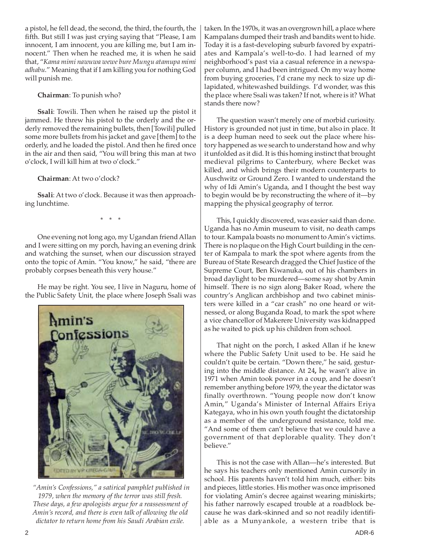a pistol, he fell dead, the second, the third, the fourth, the fifth. But still I was just crying saying that "Please, I am innocent, I am innocent, you are killing me, but I am innocent." Then when he reached me, it is when he said that, "*Kama mimi nawuwa wewe bure Mungu atamupa mimi adhabu*." Meaning that if I am killing you for nothing God will punish me.

**Chairman**: To punish who?

**Ssali**: Towili. Then when he raised up the pistol it jammed. He threw his pistol to the orderly and the orderly removed the remaining bullets, then [Towili] pulled some more bullets from his jacket and gave [them] to the orderly, and he loaded the pistol. And then he fired once in the air and then said, "You will bring this man at two o'clock, I will kill him at two o'clock."

**Chairman**: At two o'clock?

**Ssali**: At two o'clock. Because it was then approaching lunchtime.

\* \* \*

One evening not long ago, my Ugandan friend Allan and I were sitting on my porch, having an evening drink and watching the sunset, when our discussion strayed onto the topic of Amin. "You know," he said, "there are probably corpses beneath this very house."

He may be right. You see, I live in Naguru, home of the Public Safety Unit, the place where Joseph Ssali was



 *"Amin's Confessions," a satirical pamphlet published in 1979, when the memory of the terror was still fresh. These days, a few apologists argue for a reassessment of Amin's record, and there is even talk of allowing the old dictator to return home from his Saudi Arabian exile.*

taken. In the 1970s, it was an overgrown hill, a place where Kampalans dumped their trash and bandits went to hide. Today it is a fast-developing suburb favored by expatriates and Kampala's well-to-do. I had learned of my neighborhood's past via a casual reference in a newspaper column, and I had been intrigued. On my way home from buying groceries, I'd crane my neck to size up dilapidated, whitewashed buildings. I'd wonder, was this the place where Ssali was taken? If not, where is it? What stands there now?

The question wasn't merely one of morbid curiosity. History is grounded not just in time, but also in place. It is a deep human need to seek out the place where history happened as we search to understand how and why it unfolded as it did. It is this homing instinct that brought medieval pilgrims to Canterbury, where Becket was killed, and which brings their modern counterparts to Auschwitz or Ground Zero. I wanted to understand the why of Idi Amin's Uganda, and I thought the best way to begin would be by reconstructing the where of it—by mapping the physical geography of terror.

This, I quickly discovered, was easier said than done. Uganda has no Amin museum to visit, no death camps to tour. Kampala boasts no monument to Amin's victims. There is no plaque on the High Court building in the center of Kampala to mark the spot where agents from the Bureau of State Research dragged the Chief Justice of the Supreme Court, Ben Kiwanuka, out of his chambers in broad daylight to be murdered—some say shot by Amin himself. There is no sign along Baker Road, where the country's Anglican archbishop and two cabinet ministers were killed in a "car crash" no one heard or witnessed, or along Buganda Road, to mark the spot where a vice chancellor of Makerere University was kidnapped as he waited to pick up his children from school.

That night on the porch, I asked Allan if he knew where the Public Safety Unit used to be. He said he couldn't quite be certain. "Down there," he said, gesturing into the middle distance. At 24**,** he wasn't alive in 1971 when Amin took power in a coup, and he doesn't remember anything before 1979, the year the dictator was finally overthrown. "Young people now don't know Amin," Uganda's Minister of Internal Affairs Eriya Kategaya, who in his own youth fought the dictatorship as a member of the underground resistance, told me. "And some of them can't believe that we could have a government of that deplorable quality. They don't believe."

This is not the case with Allan—he's interested. But he says his teachers only mentioned Amin cursorily in school. His parents haven't told him much, either: bits and pieces, little stories. His mother was once imprisoned for violating Amin's decree against wearing miniskirts; his father narrowly escaped trouble at a roadblock because he was dark-skinned and so not readily identifiable as a Munyankole, a western tribe that is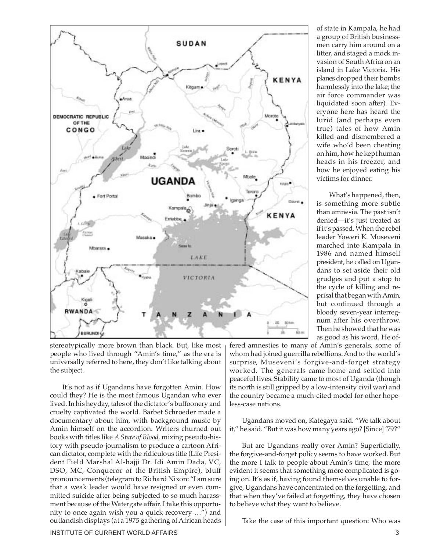

stereotypically more brown than black. But, like most people who lived through "Amin's time," as the era is universally referred to here, they don't like talking about the subject.

It's not as if Ugandans have forgotten Amin. How could they? He is the most famous Ugandan who ever lived. In his heyday, tales of the dictator's buffoonery and cruelty captivated the world. Barbet Schroeder made a documentary about him, with background music by Amin himself on the accordion. Writers churned out books with titles like *A State of Blood*, mixing pseudo-history with pseudo-journalism to produce a cartoon African dictator, complete with the ridiculous title (Life President Field Marshal Al-hajji Dr. Idi Amin Dada, VC, DSO, MC, Conqueror of the British Empire), bluff pronouncements (telegram to Richard Nixon: "I am sure that a weak leader would have resigned or even committed suicide after being subjected to so much harassment because of the Watergate affair. I take this opportunity to once again wish you a quick recovery …") and outlandish displays (at a 1975 gathering of African heads of state in Kampala, he had a group of British businessmen carry him around on a litter, and staged a mock invasion of South Africa on an island in Lake Victoria. His planes dropped their bombs harmlessly into the lake; the air force commander was liquidated soon after). Everyone here has heard the lurid (and perhaps even true) tales of how Amin killed and dismembered a wife who'd been cheating on him, how he kept human heads in his freezer, and how he enjoyed eating his victims for dinner.

What's happened, then, is something more subtle than amnesia. The past isn't denied—it's just treated as if it's passed. When the rebel leader Yoweri K. Museveni marched into Kampala in 1986 and named himself president, he called on Ugandans to set aside their old grudges and put a stop to the cycle of killing and reprisal that began with Amin, but continued through a bloody seven-year interregnum after his overthrow. Then he showed that he was as good as his word. He of-

fered amnesties to many of Amin's generals, some of whom had joined guerrilla rebellions. And to the world's surprise, Museveni's forgive-and-forget strategy worked. The generals came home and settled into peaceful lives. Stability came to most of Uganda (though its north is still gripped by a low-intensity civil war) and the country became a much-cited model for other hopeless-case nations.

Ugandans moved on, Kategaya said. "We talk about it," he said. "But it was how many years ago? [Since] '79?"

But are Ugandans really over Amin? Superficially, the forgive-and-forget policy seems to have worked. But the more I talk to people about Amin's time, the more evident it seems that something more complicated is going on. It's as if, having found themselves unable to forgive, Ugandans have concentrated on the forgetting, and that when they've failed at forgetting, they have chosen to believe what they want to believe.

Take the case of this important question: Who was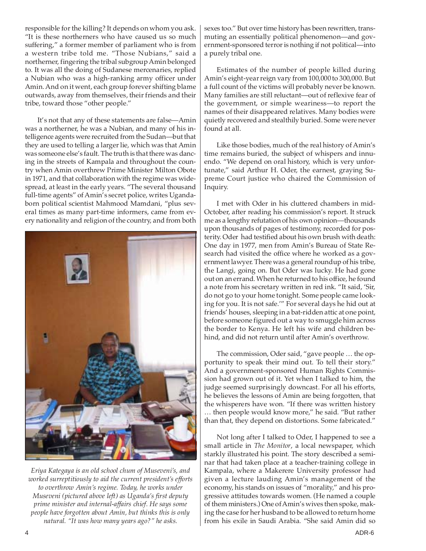responsible for the killing? It depends on whom you ask. "It is these northerners who have caused us so much suffering," a former member of parliament who is from a western tribe told me. "Those Nubians," said a northerner, fingering the tribal subgroup Amin belonged to. It was all the doing of Sudanese mercenaries, replied a Nubian who was a high-ranking army officer under Amin. And on it went, each group forever shifting blame outwards, away from themselves, their friends and their tribe, toward those "other people."

It's not that any of these statements are false—Amin was a northerner, he was a Nubian, and many of his intelligence agents were recruited from the Sudan—but that they are used to telling a larger lie, which was that Amin was someone else's fault. The truth is that there was dancing in the streets of Kampala and throughout the country when Amin overthrew Prime Minister Milton Obote in 1971, and that collaboration with the regime was widespread, at least in the early years. "The several thousand full-time agents" of Amin's secret police, writes Ugandaborn political scientist Mahmood Mamdani, "plus several times as many part-time informers, came from every nationality and religion of the country, and from both



*Eriya Kategaya is an old school chum of Museveni's, and worked surreptitiously to aid the current president's efforts to overthrow Amin's regime. Today, he works under Museveni (pictured above left) as Uganda's first deputy prime minister and internal-affairs chief. He says some people have forgotten about Amin, but thinks this is only natural. "It was how many years ago?" he asks.*

sexes too." But over time history has been rewritten, transmuting an essentially political phenomenon—and government-sponsored terror is nothing if not political—into a purely tribal one.

Estimates of the number of people killed during Amin's eight-year reign vary from 100,000 to 300,000. But a full count of the victims will probably never be known. Many families are still reluctant—out of reflexive fear of the government, or simple weariness—to report the names of their disappeared relatives. Many bodies were quietly recovered and stealthily buried. Some were never found at all.

Like those bodies, much of the real history of Amin's time remains buried, the subject of whispers and innuendo. "We depend on oral history, which is very unfortunate," said Arthur H. Oder, the earnest, graying Supreme Court justice who chaired the Commission of Inquiry.

I met with Oder in his cluttered chambers in mid-October, after reading his commission's report. It struck me as a lengthy refutation of his own opinion—thousands upon thousands of pages of testimony, recorded for posterity. Oder had testified about his own brush with death: One day in 1977, men from Amin's Bureau of State Research had visited the office where he worked as a government lawyer. There was a general roundup of his tribe, the Langi, going on. But Oder was lucky. He had gone out on an errand. When he returned to his office, he found a note from his secretary written in red ink. "It said, 'Sir, do not go to your home tonight. Some people came looking for you. It is not safe.'" For several days he hid out at friends' houses, sleeping in a bat-ridden attic at one point, before someone figured out a way to smuggle him across the border to Kenya. He left his wife and children behind, and did not return until after Amin's overthrow.

The commission, Oder said, "gave people … the opportunity to speak their mind out. To tell their story." And a government-sponsored Human Rights Commission had grown out of it. Yet when I talked to him, the judge seemed surprisingly downcast. For all his efforts, he believes the lessons of Amin are being forgotten, that the whisperers have won. "If there was written history … then people would know more," he said. "But rather than that, they depend on distortions. Some fabricated."

Not long after I talked to Oder, I happened to see a small article in *The Monitor*, a local newspaper, which starkly illustrated his point. The story described a seminar that had taken place at a teacher-training college in Kampala, where a Makerere University professor had given a lecture lauding Amin's management of the economy, his stands on issues of "morality," and his progressive attitudes towards women. (He named a couple of them ministers.) One of Amin's wives then spoke, making the case for her husband to be allowed to return home from his exile in Saudi Arabia. "She said Amin did so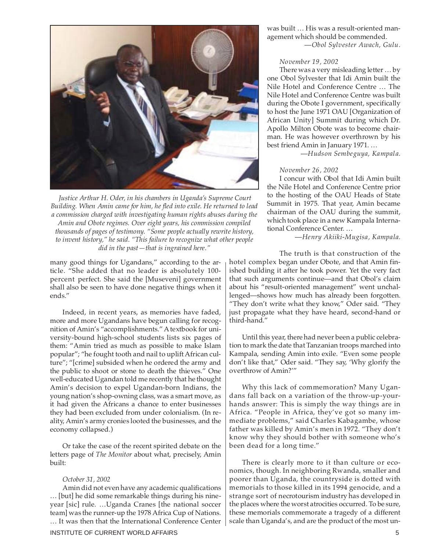

 *Justice Arthur H. Oder, in his chambers in Uganda's Supreme Court Building. When Amin came for him, he fled into exile. He returned to lead a commission charged with investigating human rights abuses during the Amin and Obote regimes. Over eight years, his commission compiled thousands of pages of testimony. "Some people actually rewrite history, to invent history," he said. "This failure to recognize what other people did in the past—that is ingrained here."*

many good things for Ugandans," according to the article. "She added that no leader is absolutely 100 percent perfect. She said the [Museveni] government shall also be seen to have done negative things when it ends."

Indeed, in recent years, as memories have faded, more and more Ugandans have begun calling for recognition of Amin's "accomplishments." A textbook for university-bound high-school students lists six pages of them: "Amin tried as much as possible to make Islam popular"; "he fought tooth and nail to uplift African culture"; "[crime] subsided when he ordered the army and the public to shoot or stone to death the thieves." One well-educated Ugandan told me recently that he thought Amin's decision to expel Ugandan-born Indians, the young nation's shop-owning class, was a smart move, as it had given the Africans a chance to enter businesses they had been excluded from under colonialism. (In reality, Amin's army cronies looted the businesses, and the economy collapsed.)

Or take the case of the recent spirited debate on the letters page of *The Monitor* about what, precisely, Amin built:

### *October 31, 2002*

Amin did not even have any academic qualifications … [but] he did some remarkable things during his nineyear [sic] rule. …Uganda Cranes [the national soccer team] was the runner-up the 1978 Africa Cup of Nations. … It was then that the International Conference Center was built … His was a result-oriented management which should be commended. —*Obol Sylvester Awach, Gulu.*

#### *November 19, 2002*

There was a very misleading letter … by one Obol Sylvester that Idi Amin built the Nile Hotel and Conference Centre … The Nile Hotel and Conference Centre was built during the Obote I government, specifically to host the June 1971 OAU [Organization of African Unity] Summit during which Dr. Apollo Milton Obote was to become chairman. He was however overthrown by his best friend Amin in January 1971. …

—*Hudson Sembeguya, Kampala.*

## *November 26, 2002*

I concur with Obol that Idi Amin built the Nile Hotel and Conference Centre prior to the hosting of the OAU Heads of State Summit in 1975. That year, Amin became chairman of the OAU during the summit, which took place in a new Kampala International Conference Center. …

—*Henry Akiiki-Mugisa, Kampala.*

The truth is that construction of the hotel complex began under Obote, and that Amin finished building it after he took power. Yet the very fact that such arguments continue—and that Obol's claim about his "result-oriented management" went unchallenged—shows how much has already been forgotten. "They don't write what they know," Oder said. "They just propagate what they have heard, second-hand or third-hand."

Until this year, there had never been a public celebration to mark the date that Tanzanian troops marched into Kampala, sending Amin into exile. "Even some people don't like that," Oder said. "They say, 'Why glorify the overthrow of Amin?'"

Why this lack of commemoration? Many Ugandans fall back on a variation of the throw-up-yourhands answer: This is simply the way things are in Africa. "People in Africa, they've got so many immediate problems," said Charles Kabagambe, whose father was killed by Amin's men in 1972. "They don't know why they should bother with someone who's been dead for a long time."

There is clearly more to it than culture or economics, though. In neighboring Rwanda, smaller and poorer than Uganda, the countryside is dotted with memorials to those killed in its 1994 genocide, and a strange sort of necrotourism industry has developed in the places where the worst atrocities occurred. To be sure, these memorials commemorate a tragedy of a different scale than Uganda's, and are the product of the most un-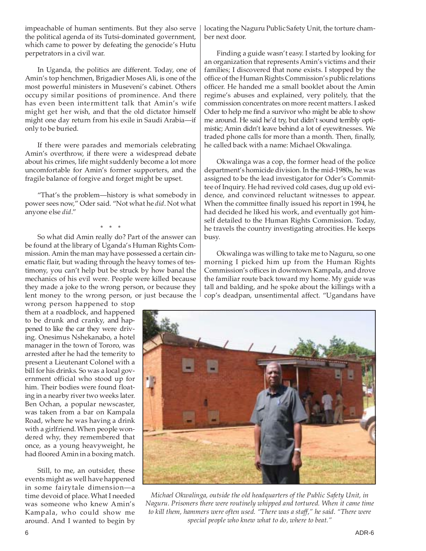impeachable of human sentiments. But they also serve the political agenda of its Tutsi-dominated government, which came to power by defeating the genocide's Hutu perpetrators in a civil war.

In Uganda, the politics are different. Today, one of Amin's top henchmen, Brigadier Moses Ali, is one of the most powerful ministers in Museveni's cabinet. Others occupy similar positions of prominence. And there has even been intermittent talk that Amin's wife might get her wish, and that the old dictator himself might one day return from his exile in Saudi Arabia—if only to be buried.

If there were parades and memorials celebrating Amin's overthrow, if there were a widespread debate about his crimes, life might suddenly become a lot more uncomfortable for Amin's former supporters, and the fragile balance of forgive and forget might be upset.

"That's the problem—history is what somebody in power sees now," Oder said. "Not what he *did*. Not what anyone else *did*."

\* \* \*

So what did Amin really do? Part of the answer can be found at the library of Uganda's Human Rights Commission. Amin the man may have possessed a certain cinematic flair, but wading through the heavy tomes of testimony, you can't help but be struck by how banal the mechanics of his evil were. People were killed because they made a joke to the wrong person, or because they lent money to the wrong person, or just because the

wrong person happened to stop them at a roadblock, and happened to be drunk and cranky, and happened to like the car they were driving. Onesimus Nshekanabo, a hotel manager in the town of Tororo, was arrested after he had the temerity to present a Lieutenant Colonel with a bill for his drinks. So was a local government official who stood up for him. Their bodies were found floating in a nearby river two weeks later. Ben Ochan, a popular newscaster, was taken from a bar on Kampala Road, where he was having a drink with a girlfriend. When people wondered why, they remembered that once, as a young heavyweight, he had floored Amin in a boxing match.

Still, to me, an outsider, these events might as well have happened in some fairytale dimension—a time devoid of place. What I needed was someone who knew Amin's Kampala, who could show me around. And I wanted to begin by locating the Naguru Public Safety Unit, the torture chamber next door.

Finding a guide wasn't easy. I started by looking for an organization that represents Amin's victims and their families; I discovered that none exists. I stopped by the office of the Human Rights Commission's public relations officer. He handed me a small booklet about the Amin regime's abuses and explained, very politely, that the commission concentrates on more recent matters. I asked Oder to help me find a survivor who might be able to show me around. He said he'd try, but didn't sound terribly optimistic; Amin didn't leave behind a lot of eyewitnesses. We traded phone calls for more than a month. Then, finally, he called back with a name: Michael Okwalinga.

Okwalinga was a cop, the former head of the police department's homicide division. In the mid-1980s, he was assigned to be the lead investigator for Oder's Committee of Inquiry. He had revived cold cases, dug up old evidence, and convinced reluctant witnesses to appear. When the committee finally issued his report in 1994, he had decided he liked his work, and eventually got himself detailed to the Human Rights Commission. Today, he travels the country investigating atrocities. He keeps busy.

Okwalinga was willing to take me to Naguru, so one morning I picked him up from the Human Rights Commission's offices in downtown Kampala, and drove the familiar route back toward my home. My guide was tall and balding, and he spoke about the killings with a cop's deadpan, unsentimental affect. "Ugandans have



*Michael Okwalinga, outside the old headquarters of the Public Safety Unit, in Naguru. Prisoners there were routinely whipped and tortured. When it came time to kill them, hammers were often used. "There was a staff," he said. "There were special people who knew what to do, where to beat."*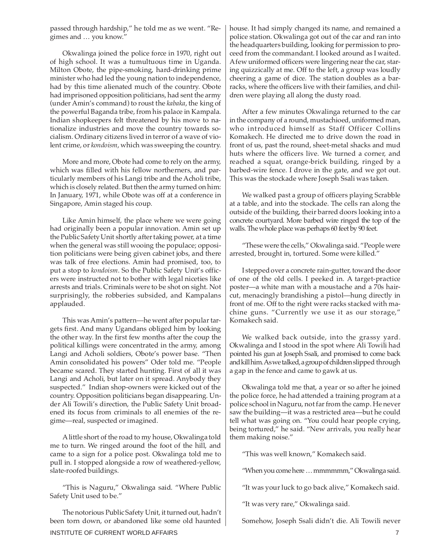passed through hardship," he told me as we went. "Regimes and … you know."

Okwalinga joined the police force in 1970, right out of high school. It was a tumultuous time in Uganda. Milton Obote, the pipe-smoking, hard-drinking prime minister who had led the young nation to independence, had by this time alienated much of the country. Obote had imprisoned opposition politicians, had sent the army (under Amin's command) to roust the *kabaka*, the king of the powerful Baganda tribe, from his palace in Kampala. Indian shopkeepers felt threatened by his move to nationalize industries and move the country towards socialism. Ordinary citizens lived in terror of a wave of violent crime, or *kondoism*, which was sweeping the country.

More and more, Obote had come to rely on the army, which was filled with his fellow northerners, and particularly members of his Langi tribe and the Acholi tribe, which is closely related. But then the army turned on him: In January, 1971, while Obote was off at a conference in Singapore, Amin staged his coup.

Like Amin himself, the place where we were going had originally been a popular innovation. Amin set up the Public Safety Unit shortly after taking power, at a time when the general was still wooing the populace; opposition politicians were being given cabinet jobs, and there was talk of free elections. Amin had promised, too, to put a stop to *kondoism*. So the Public Safety Unit's officers were instructed not to bother with legal niceties like arrests and trials. Criminals were to be shot on sight. Not surprisingly, the robberies subsided, and Kampalans applauded.

This was Amin's pattern—he went after popular targets first. And many Ugandans obliged him by looking the other way. In the first few months after the coup the political killings were concentrated in the army, among Langi and Acholi soldiers, Obote's power base. "Then Amin consolidated his powers" Oder told me. "People became scared. They started hunting. First of all it was Langi and Acholi, but later on it spread. Anybody they suspected." Indian shop-owners were kicked out of the country. Opposition politicians began disappearing. Under Ali Towili's direction, the Public Safety Unit broadened its focus from criminals to all enemies of the regime—real, suspected or imagined.

A little short of the road to my house, Okwalinga told me to turn. We ringed around the foot of the hill, and came to a sign for a police post. Okwalinga told me to pull in. I stopped alongside a row of weathered-yellow, slate-roofed buildings.

"This is Naguru," Okwalinga said. "Where Public Safety Unit used to be."

INSTITUTE OF CURRENT WORLD AFFAIRS **7** And the state of the state of the state of the state of the state of the state of the state of the state of the state of the state of the state of the state of the state of the state The notorious Public Safety Unit, it turned out, hadn't been torn down, or abandoned like some old haunted

house. It had simply changed its name, and remained a police station. Okwalinga got out of the car and ran into the headquarters building, looking for permission to proceed from the commandant. I looked around as I waited. A few uniformed officers were lingering near the car, staring quizzically at me. Off to the left, a group was loudly cheering a game of dice. The station doubles as a barracks, where the officers live with their families, and children were playing all along the dusty road.

After a few minutes Okwalinga returned to the car in the company of a round, mustachioed, uniformed man, who introduced himself as Staff Officer Collins Komakech. He directed me to drive down the road in front of us, past the round, sheet-metal shacks and mud huts where the officers live. We turned a corner, and reached a squat, orange-brick building, ringed by a barbed-wire fence. I drove in the gate, and we got out. This was the stockade where Joseph Ssali was taken.

We walked past a group of officers playing Scrabble at a table, and into the stockade. The cells ran along the outside of the building, their barred doors looking into a concrete courtyard. More barbed wire ringed the top of the walls. The whole place was perhaps 60 feet by 90 feet.

"These were the cells," Okwalinga said. "People were arrested, brought in, tortured. Some were killed."

I stepped over a concrete rain-gutter, toward the door of one of the old cells. I peeked in. A target-practice poster—a white man with a moustache and a 70s haircut, menacingly brandishing a pistol—hung directly in front of me. Off to the right were racks stacked with machine guns. "Currently we use it as our storage," Komakech said.

We walked back outside, into the grassy yard. Okwalinga and I stood in the spot where Ali Towili had pointed his gun at Joseph Ssali, and promised to come back and kill him. As we talked, a group of children slipped through a gap in the fence and came to gawk at us.

Okwalinga told me that, a year or so after he joined the police force, he had attended a training program at a police school in Naguru, not far from the camp. He never saw the building—it was a restricted area—but he could tell what was going on. "You could hear people crying, being tortured," he said. "New arrivals, you really hear them making noise."

"This was well known," Komakech said.

"When you come here … mmmmmm," Okwalinga said.

"It was your luck to go back alive," Komakech said.

"It was very rare," Okwalinga said.

Somehow, Joseph Ssali didn't die. Ali Towili never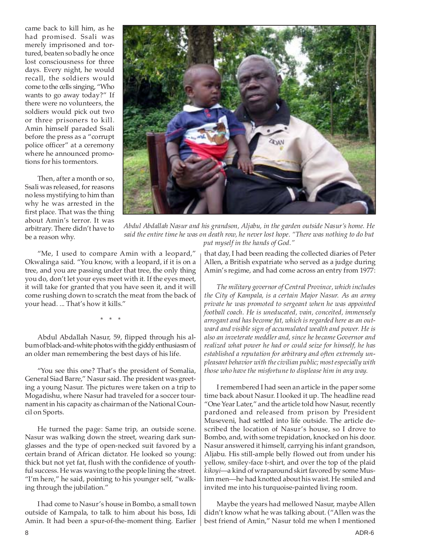came back to kill him, as he had promised. Ssali was merely imprisoned and tortured, beaten so badly he once lost consciousness for three days. Every night, he would recall, the soldiers would come to the cells singing, "Who wants to go away today?" If there were no volunteers, the soldiers would pick out two or three prisoners to kill. Amin himself paraded Ssali before the press as a "corrupt police officer" at a ceremony where he announced promotions for his tormentors.

Then, after a month or so, Ssali was released, for reasons no less mystifying to him than why he was arrested in the first place. That was the thing about Amin's terror. It was arbitrary. There didn't have to be a reason why.



*Abdul Abdallah Nasur and his grandson, Aljabu, in the garden outside Nasur's home. He said the entire time he was on death row, he never lost hope. "There was nothing to do but put myself in the hands of God."*

"Me, I used to compare Amin with a leopard," Okwalinga said. "You know, with a leopard, if it is on a tree, and you are passing under that tree, the only thing you do, don't let your eyes meet with it. If the eyes meet, it will take for granted that you have seen it, and it will come rushing down to scratch the meat from the back of your head. ... That's how it kills."

\* \* \*

Abdul Abdallah Nasur, 59, flipped through his album of black-and-white photos with the giddy enthusiasm of an older man remembering the best days of his life.

"You see this one? That's the president of Somalia, General Siad Barre," Nasur said. The president was greeting a young Nasur. The pictures were taken on a trip to Mogadishu, where Nasur had traveled for a soccer tournament in his capacity as chairman of the National Council on Sports.

He turned the page: Same trip, an outside scene. Nasur was walking down the street, wearing dark sunglasses and the type of open-necked suit favored by a certain brand of African dictator. He looked so young: thick but not yet fat, flush with the confidence of youthful success. He was waving to the people lining the street. "I'm here," he said, pointing to his younger self, "walking through the jubilation."

I had come to Nasur's house in Bombo, a small town outside of Kampala, to talk to him about his boss, Idi Amin. It had been a spur-of-the-moment thing. Earlier that day, I had been reading the collected diaries of Peter Allen, a British expatriate who served as a judge during Amin's regime, and had come across an entry from 1977:

*The military governor of Central Province, which includes the City of Kampala, is a certain Major Nasur. As an army private he was promoted to sergeant when he was appointed football coach. He is uneducated, vain, conceited, immensely arrogant and has become fat, which is regarded here as an outward and visible sign of accumulated wealth and power. He is also an inveterate meddler and, since he became Governor and realized what power he had or could seize for himself, he has established a reputation for arbitrary and often extremely unpleasant behavior with the civilian public; most especially with those who have the misfortune to displease him in any way.*

I remembered I had seen an article in the paper some time back about Nasur. I looked it up. The headline read "One Year Later," and the article told how Nasur, recently pardoned and released from prison by President Museveni, had settled into life outside. The article described the location of Nasur's house, so I drove to Bombo, and, with some trepidation, knocked on his door. Nasur answered it himself, carrying his infant grandson, Aljabu. His still-ample belly flowed out from under his yellow, smiley-face t-shirt, and over the top of the plaid *kikoyi*—a kind of wraparound skirt favored by some Muslim men—he had knotted about his waist. He smiled and invited me into his turquoise-painted living room.

Maybe the years had mellowed Nasur, maybe Allen didn't know what he was talking about. ("Allen was the best friend of Amin," Nasur told me when I mentioned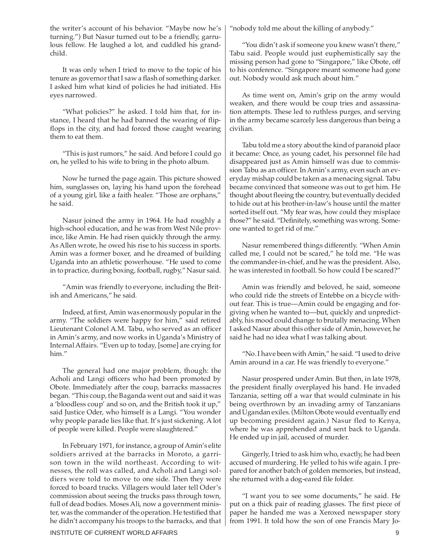the writer's account of his behavior. "Maybe now he's turning.") But Nasur turned out to be a friendly, garrulous fellow. He laughed a lot, and cuddled his grandchild.

It was only when I tried to move to the topic of his tenure as governor that I saw a flash of something darker. I asked him what kind of policies he had initiated. His eyes narrowed.

"What policies?" he asked. I told him that, for instance, I heard that he had banned the wearing of flipflops in the city, and had forced those caught wearing them to eat them.

"This is just rumors," he said. And before I could go on, he yelled to his wife to bring in the photo album.

Now he turned the page again. This picture showed him, sunglasses on, laying his hand upon the forehead of a young girl, like a faith healer. "Those are orphans," he said.

Nasur joined the army in 1964. He had roughly a high-school education, and he was from West Nile province, like Amin. He had risen quickly through the army. As Allen wrote, he owed his rise to his success in sports. Amin was a former boxer, and he dreamed of building Uganda into an athletic powerhouse. "He used to come in to practice, during boxing, football, rugby," Nasur said.

"Amin was friendly to everyone, including the British and Americans," he said.

Indeed, at first, Amin was enormously popular in the army. "The soldiers were happy for him," said retired Lieutenant Colonel A.M. Tabu, who served as an officer in Amin's army, and now works in Uganda's Ministry of Internal Affairs. "Even up to today, [some] are crying for him."

The general had one major problem, though: the Acholi and Langi officers who had been promoted by Obote. Immediately after the coup, barracks massacres began. "This coup, the Baganda went out and said it was a 'bloodless coup' and so on, and the British took it up," said Justice Oder, who himself is a Langi. "You wonder why people parade lies like that. It's just sickening. A lot of people were killed. People were slaughtered."

In February 1971, for instance, a group of Amin's elite soldiers arrived at the barracks in Moroto, a garrison town in the wild northeast. According to witnesses, the roll was called, and Acholi and Langi soldiers were told to move to one side. Then they were forced to board trucks. Villagers would later tell Oder's commission about seeing the trucks pass through town, full of dead bodies. Moses Ali, now a government minister, was the commander of the operation. He testified that he didn't accompany his troops to the barracks, and that "nobody told me about the killing of anybody."

"You didn't ask if someone you knew wasn't there," Tabu said. People would just euphemistically say the missing person had gone to "Singapore," like Obote, off to his conference. "Singapore meant someone had gone out. Nobody would ask much about him."

As time went on, Amin's grip on the army would weaken, and there would be coup tries and assassination attempts. These led to ruthless purges, and serving in the army became scarcely less dangerous than being a civilian.

Tabu told me a story about the kind of paranoid place it became: Once, as young cadet, his personnel file had disappeared just as Amin himself was due to commission Tabu as an officer. In Amin's army, even such an everyday mishap could be taken as a menacing signal. Tabu became convinced that someone was out to get him. He thought about fleeing the country, but eventually decided to hide out at his brother-in-law's house until the matter sorted itself out. "My fear was, how could they misplace those?" he said. "Definitely, something was wrong. Someone wanted to get rid of me."

Nasur remembered things differently. "When Amin called me, I could not be scared," he told me. "He was the commander-in-chief, and he was the president. Also, he was interested in football. So how could I be scared?"

Amin was friendly and beloved, he said, someone who could ride the streets of Entebbe on a bicycle without fear. This is true—Amin could be engaging and forgiving when he wanted to—but, quickly and unpredictably, his mood could change to brutally menacing. When I asked Nasur about this other side of Amin, however, he said he had no idea what I was talking about.

"No. I have been with Amin," he said. "I used to drive Amin around in a car. He was friendly to everyone."

Nasur prospered under Amin. But then, in late 1978, the president finally overplayed his hand. He invaded Tanzania, setting off a war that would culminate in his being overthrown by an invading army of Tanzanians and Ugandan exiles. (Milton Obote would eventually end up becoming president again.) Nasur fled to Kenya, where he was apprehended and sent back to Uganda. He ended up in jail, accused of murder.

Gingerly, I tried to ask him who, exactly, he had been accused of murdering. He yelled to his wife again. I prepared for another batch of golden memories, but instead, she returned with a dog-eared file folder.

"I want you to see some documents," he said. He put on a thick pair of reading glasses. The first piece of paper he handed me was a Xeroxed newspaper story from 1991. It told how the son of one Francis Mary Jo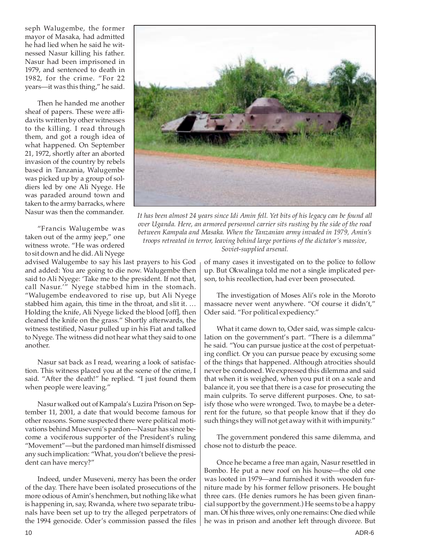seph Walugembe, the former mayor of Masaka, had admitted he had lied when he said he witnessed Nasur killing his father. Nasur had been imprisoned in 1979, and sentenced to death in 1982, for the crime. "For 22 years—it was this thing," he said.

Then he handed me another sheaf of papers. These were affidavits written by other witnesses to the killing. I read through them, and got a rough idea of what happened. On September 21, 1972, shortly after an aborted invasion of the country by rebels based in Tanzania, Walugembe was picked up by a group of soldiers led by one Ali Nyege. He was paraded around town and taken to the army barracks, where Nasur was then the commander.

"Francis Walugembe was taken out of the army jeep," one witness wrote. "He was ordered to sit down and he did. Ali Nyege

advised Walugembe to say his last prayers to his God and added: You are going to die now. Walugembe then said to Ali Nyege: 'Take me to the president. If not that, call Nasur.'" Nyege stabbed him in the stomach. "Walugembe endeavored to rise up, but Ali Nyege stabbed him again, this time in the throat, and slit it. … Holding the knife, Ali Nyege licked the blood [off], then cleaned the knife on the grass." Shortly afterwards, the witness testified, Nasur pulled up in his Fiat and talked to Nyege. The witness did not hear what they said to one another.

Nasur sat back as I read, wearing a look of satisfaction. This witness placed you at the scene of the crime, I said. "After the death!" he replied. "I just found them when people were leaving."

Nasur walked out of Kampala's Luzira Prison on September 11, 2001, a date that would become famous for other reasons. Some suspected there were political motivations behind Museveni's pardon—Nasur has since become a vociferous supporter of the President's ruling "Movement"—but the pardoned man himself dismissed any such implication: "What, you don't believe the president can have mercy?"

Indeed, under Museveni, mercy has been the order of the day. There have been isolated prosecutions of the more odious of Amin's henchmen, but nothing like what is happening in, say, Rwanda, where two separate tribunals have been set up to try the alleged perpetrators of the 1994 genocide. Oder's commission passed the files



*It has been almost 24 years since Idi Amin fell. Yet bits of his legacy can be found all over Uganda. Here, an armored personnel carrier sits rusting by the side of the road between Kampala and Masaka. When the Tanzanian army invaded in 1979, Amin's troops retreated in terror, leaving behind large portions of the dictator's massive, Soviet-supplied arsenal.*

of many cases it investigated on to the police to follow up. But Okwalinga told me not a single implicated person, to his recollection, had ever been prosecuted.

The investigation of Moses Ali's role in the Moroto massacre never went anywhere. "Of course it didn't," Oder said. "For political expediency."

What it came down to, Oder said, was simple calculation on the government's part. "There is a dilemma" he said. "You can pursue justice at the cost of perpetuating conflict. Or you can pursue peace by excusing some of the things that happened. Although atrocities should never be condoned. We expressed this dilemma and said that when it is weighed, when you put it on a scale and balance it, you see that there is a case for prosecuting the main culprits. To serve different purposes. One, to satisfy those who were wronged. Two, to maybe be a deterrent for the future, so that people know that if they do such things they will not get away with it with impunity."

The government pondered this same dilemma, and chose not to disturb the peace.

Once he became a free man again, Nasur resettled in Bombo. He put a new roof on his house—the old one was looted in 1979—and furnished it with wooden furniture made by his former fellow prisoners. He bought three cars. (He denies rumors he has been given financial support by the government.) He seems to be a happy man. Of his three wives, only one remains: One died while he was in prison and another left through divorce. But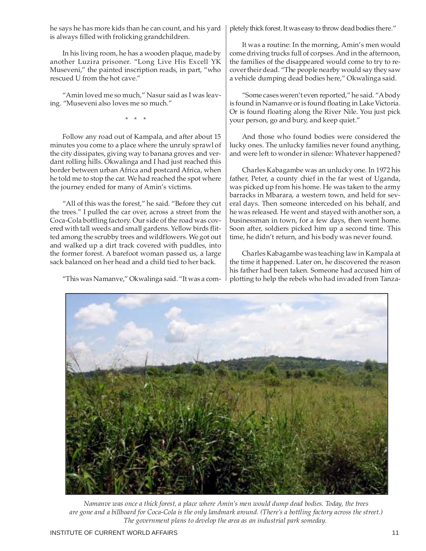he says he has more kids than he can count, and his yard is always filled with frolicking grandchildren.

In his living room, he has a wooden plaque, made by another Luzira prisoner. "Long Live His Excell YK Museveni," the painted inscription reads, in part, "who rescued U from the hot cave."

"Amin loved me so much," Nasur said as I was leaving. "Museveni also loves me so much."

\* \* \*

Follow any road out of Kampala, and after about 15 minutes you come to a place where the unruly sprawl of the city dissipates, giving way to banana groves and verdant rolling hills. Okwalinga and I had just reached this border between urban Africa and postcard Africa, when he told me to stop the car. We had reached the spot where the journey ended for many of Amin's victims.

"All of this was the forest," he said. "Before they cut the trees." I pulled the car over, across a street from the Coca-Cola bottling factory. Our side of the road was covered with tall weeds and small gardens. Yellow birds flitted among the scrubby trees and wildflowers. We got out and walked up a dirt track covered with puddles, into the former forest. A barefoot woman passed us, a large sack balanced on her head and a child tied to her back.

"This was Namanve," Okwalinga said. "It was a com-

pletely thick forest. It was easy to throw dead bodies there."

It was a routine: In the morning, Amin's men would come driving trucks full of corpses. And in the afternoon, the families of the disappeared would come to try to recover their dead. "The people nearby would say they saw a vehicle dumping dead bodies here," Okwalinga said.

"Some cases weren't even reported," he said. "A body is found in Namanve or is found floating in Lake Victoria. Or is found floating along the River Nile. You just pick your person, go and bury, and keep quiet."

And those who found bodies were considered the lucky ones. The unlucky families never found anything, and were left to wonder in silence: Whatever happened?

Charles Kabagambe was an unlucky one. In 1972 his father, Peter, a county chief in the far west of Uganda, was picked up from his home. He was taken to the army barracks in Mbarara, a western town, and held for several days. Then someone interceded on his behalf, and he was released. He went and stayed with another son, a businessman in town, for a few days, then went home. Soon after, soldiers picked him up a second time. This time, he didn't return, and his body was never found.

Charles Kabagambe was teaching law in Kampala at the time it happened. Later on, he discovered the reason his father had been taken. Someone had accused him of plotting to help the rebels who had invaded from Tanza-



 *Namanve was once a thick forest, a place where Amin's men would dump dead bodies. Today, the trees are gone and a billboard for Coca-Cola is the only landmark around. (There's a bottling factory across the street.) The government plans to develop the area as an industrial park someday.*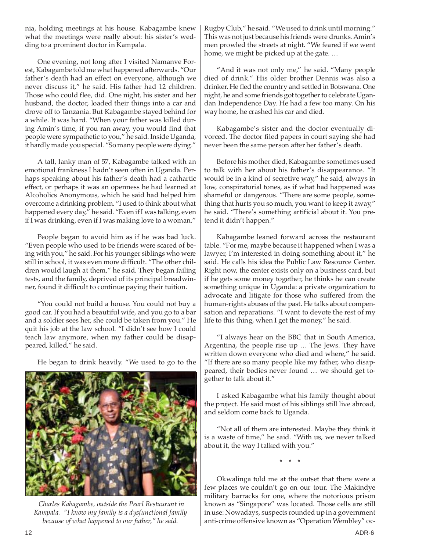nia, holding meetings at his house. Kabagambe knew what the meetings were really about: his sister's wedding to a prominent doctor in Kampala.

One evening, not long after I visited Namanve Forest, Kabagambe told me what happened afterwards. "Our father's death had an effect on everyone, although we never discuss it," he said. His father had 12 children. Those who could flee, did. One night, his sister and her husband, the doctor, loaded their things into a car and drove off to Tanzania. But Kabagambe stayed behind for a while. It was hard. "When your father was killed during Amin's time, if you ran away, you would find that people were sympathetic to you," he said. Inside Uganda, it hardly made you special. "So many people were dying."

A tall, lanky man of 57, Kabagambe talked with an emotional frankness I hadn't seen often in Uganda. Perhaps speaking about his father's death had a cathartic effect, or perhaps it was an openness he had learned at Alcoholics Anonymous, which he said had helped him overcome a drinking problem. "I used to think about what happened every day," he said. "Even if I was talking, even if I was drinking, even if I was making love to a woman."

People began to avoid him as if he was bad luck. "Even people who used to be friends were scared of being with you," he said. For his younger siblings who were still in school, it was even more difficult. "The other children would laugh at them," he said. They began failing tests, and the family, deprived of its principal breadwinner, found it difficult to continue paying their tuition.

"You could not build a house. You could not buy a good car. If you had a beautiful wife, and you go to a bar and a soldier sees her, she could be taken from you." He quit his job at the law school. "I didn't see how I could teach law anymore, when my father could be disappeared, killed," he said.

He began to drink heavily. "We used to go to the



 *Charles Kabagambe, outside the Pearl Restaurant in Kampala. "I know my family is a dysfunctional family because of what happened to our father," he said.*

Rugby Club," he said. "We used to drink until morning." This was not just because his friends were drunks. Amin's men prowled the streets at night. "We feared if we went home, we might be picked up at the gate. …

"And it was not only me," he said. "Many people died of drink." His older brother Dennis was also a drinker. He fled the country and settled in Botswana. One night, he and some friends got together to celebrate Ugandan Independence Day. He had a few too many. On his way home, he crashed his car and died.

Kabagambe's sister and the doctor eventually divorced. The doctor filed papers in court saying she had never been the same person after her father's death.

Before his mother died, Kabagambe sometimes used to talk with her about his father's disappearance. "It would be in a kind of secretive way," he said, always in low, conspiratorial tones, as if what had happened was shameful or dangerous. "There are some people, something that hurts you so much, you want to keep it away," he said. "There's something artificial about it. You pretend it didn't happen."

Kabagambe leaned forward across the restaurant table. "For me, maybe because it happened when I was a lawyer, I'm interested in doing something about it," he said. He calls his idea the Public Law Resource Center. Right now, the center exists only on a business card, but if he gets some money together, he thinks he can create something unique in Uganda: a private organization to advocate and litigate for those who suffered from the human-rights abuses of the past. He talks about compensation and reparations. "I want to devote the rest of my life to this thing, when I get the money," he said.

"I always hear on the BBC that in South America, Argentina, the people rise up … The Jews. They have written down everyone who died and where," he said. "If there are so many people like my father, who disappeared, their bodies never found … we should get together to talk about it."

I asked Kabagambe what his family thought about the project. He said most of his siblings still live abroad, and seldom come back to Uganda.

"Not all of them are interested. Maybe they think it is a waste of time," he said. "With us, we never talked about it, the way I talked with you."

\* \* \*

Okwalinga told me at the outset that there were a few places we couldn't go on our tour. The Makindye military barracks for one, where the notorious prison known as "Singapore" was located. Those cells are still in use: Nowadays, suspects rounded up in a government anti-crime offensive known as "Operation Wembley" oc-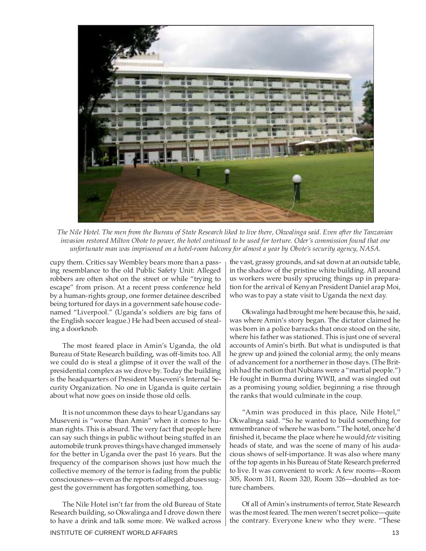

*The Nile Hotel. The men from the Bureau of State Research liked to live there, Okwalinga said. Even after the Tanzanian invasion restored Milton Obote to power, the hotel continued to be used for torture. Oder's commission found that one unfortunate man was imprisoned on a hotel-room balcony for almost a year by Obote's security agency, NASA.*

cupy them. Critics say Wembley bears more than a passing resemblance to the old Public Safety Unit: Alleged robbers are often shot on the street or while "trying to escape" from prison. At a recent press conference held by a human-rights group, one former detainee described being tortured for days in a government safe house codenamed "Liverpool." (Uganda's soldiers are big fans of the English soccer league.) He had been accused of stealing a doorknob.

The most feared place in Amin's Uganda, the old Bureau of State Research building, was off-limits too. All we could do is steal a glimpse of it over the wall of the presidential complex as we drove by. Today the building is the headquarters of President Museveni's Internal Security Organization. No one in Uganda is quite certain about what now goes on inside those old cells.

It is not uncommon these days to hear Ugandans say Museveni is "worse than Amin" when it comes to human rights. This is absurd. The very fact that people here can say such things in public without being stuffed in an automobile trunk proves things have changed immensely for the better in Uganda over the past 16 years. But the frequency of the comparison shows just how much the collective memory of the terror is fading from the public consciousness—even as the reports of alleged abuses suggest the government has forgotten something, too.

The Nile Hotel isn't far from the old Bureau of State Research building, so Okwalinga and I drove down there to have a drink and talk some more. We walked across

the vast, grassy grounds, and sat down at an outside table, in the shadow of the pristine white building. All around us workers were busily sprucing things up in preparation for the arrival of Kenyan President Daniel arap Moi, who was to pay a state visit to Uganda the next day.

Okwalinga had brought me here because this, he said, was where Amin's story began. The dictator claimed he was born in a police barracks that once stood on the site, where his father was stationed. This is just one of several accounts of Amin's birth. But what is undisputed is that he grew up and joined the colonial army, the only means of advancement for a northerner in those days. (The British had the notion that Nubians were a "martial people.") He fought in Burma during WWII, and was singled out as a promising young soldier, beginning a rise through the ranks that would culminate in the coup.

"Amin was produced in this place, Nile Hotel," Okwalinga said. "So he wanted to build something for remembrance of where he was born." The hotel, once he'd finished it, became the place where he would *fete* visiting heads of state, and was the scene of many of his audacious shows of self-importance. It was also where many of the top agents in his Bureau of State Research preferred to live. It was convenient to work: A few rooms—Room 305, Room 311, Room 320, Room 326—doubled as torture chambers.

Of all of Amin's instruments of terror, State Research was the most feared. The men weren't secret police—quite the contrary. Everyone knew who they were. "These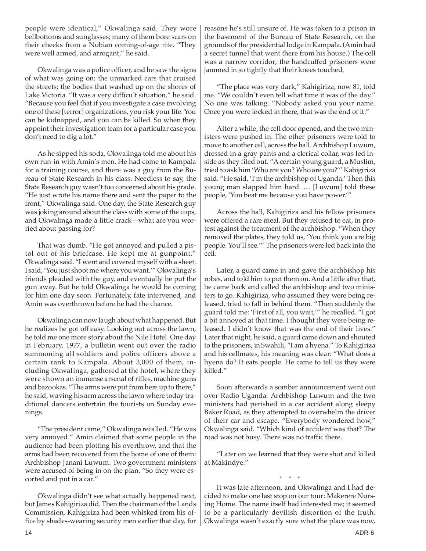people were identical," Okwalinga said. They wore bellbottoms and sunglasses; many of them bore scars on their cheeks from a Nubian coming-of-age rite. "They were well armed, and arrogant," he said.

Okwalinga was a police officer, and he saw the signs of what was going on: the unmarked cars that cruised the streets; the bodies that washed up on the shores of Lake Victoria. "It was a very difficult situation," he said. "Because you feel that if you investigate a case involving one of these [terror] organizations, you risk your life. You can be kidnapped, and you can be killed. So when they appoint their investigation team for a particular case you don't need to dig a lot."

As he sipped his soda, Okwalinga told me about his own run-in with Amin's men. He had come to Kampala for a training course, and there was a guy from the Bureau of State Research in his class. Needless to say, the State Research guy wasn't too concerned about his grade. "He just wrote his name there and sent the paper to the front," Okwalinga said. One day, the State Research guy was joking around about the class with some of the cops, and Okwalinga made a little crack—what are you worried about passing for?

That was dumb. "He got annoyed and pulled a pistol out of his briefcase. He kept me at gunpoint." Okwalinga said. "I went and covered myself with a sheet. I said, 'You just shoot me where you want.'" Okwalinga's friends pleaded with the guy, and eventually he put the gun away. But he told Okwalinga he would be coming for him one day soon. Fortunately, fate intervened, and Amin was overthrown before he had the chance.

Okwalinga can now laugh about what happened. But he realizes he got off easy. Looking out across the lawn, he told me one more story about the Nile Hotel. One day in February, 1977, a bulletin went out over the radio summoning all soldiers and police officers above a certain rank to Kampala. About 3,000 of them, including Okwalinga, gathered at the hotel, where they were shown an immense arsenal of rifles, machine guns and bazookas. "The arms were put from here up to there," he said, waving his arm across the lawn where today traditional dancers entertain the tourists on Sunday evenings.

"The president came," Okwalinga recalled. "He was very annoyed." Amin claimed that some people in the audience had been plotting his overthrow, and that the arms had been recovered from the home of one of them: Archbishop Janani Luwum. Two government ministers were accused of being in on the plan. "So they were escorted and put in a car."

Okwalinga didn't see what actually happened next, but James Kahigiriza did. Then the chairman of the Lands Commission, Kahigiriza had been whisked from his office by shades-wearing security men earlier that day, for

reasons he's still unsure of. He was taken to a prison in the basement of the Bureau of State Research, on the grounds of the presidential lodge in Kampala. (Amin had a secret tunnel that went there from his house.) The cell was a narrow corridor; the handcuffed prisoners were jammed in so tightly that their knees touched.

"The place was very dark," Kahigiriza, now 81, told me. "We couldn't even tell what time it was of the day." No one was talking. "Nobody asked you your name. Once you were locked in there, that was the end of it."

After a while, the cell door opened, and the two ministers were pushed in. The other prisoners were told to move to another cell, across the hall. Archbishop Luwum, dressed in a gray pants and a clerical collar, was led inside as they filed out. "A certain young guard, a Muslim, tried to ask him 'Who are you? Who are you?'" Kahigiriza said. "He said, 'I'm the archbishop of Uganda.' Then this young man slapped him hard. … [Luwum] told these people, 'You beat me because you have power.'"

Across the hall, Kahigiriza and his fellow prisoners were offered a rare meal. But they refused to eat, in protest against the treatment of the archbishop. "When they removed the plates, they told us, 'You think you are big people. You'll see.'" The prisoners were led back into the cell.

Later, a guard came in and gave the archbishop his robes, and told him to put them on. And a little after that, he came back and called the archbishop and two ministers to go. Kahigiriza, who assumed they were being released, tried to fall in behind them. "Then suddenly the guard told me: 'First of all, you wait,'" he recalled. "I got a bit annoyed at that time. I thought they were being released. I didn't know that was the end of their lives." Later that night, he said, a guard came down and shouted to the prisoners, in Swahili, "I am a hyena." To Kahigiriza and his cellmates, his meaning was clear: "What does a hyena do? It eats people. He came to tell us they were killed."

Soon afterwards a somber announcement went out over Radio Uganda: Archbishop Luwum and the two ministers had perished in a car accident along sleepy Baker Road, as they attempted to overwhelm the driver of their car and escape. "Everybody wondered how," Okwalinga said. "Which kind of accident was that? The road was not busy. There was no traffic there.

"Later on we learned that they were shot and killed at Makindye."

\* \* \* It was late afternoon, and Okwalinga and I had decided to make one last stop on our tour: Makerere Nursing Home. The name itself had interested me; it seemed to be a particularly devilish distortion of the truth. Okwalinga wasn't exactly sure what the place was now,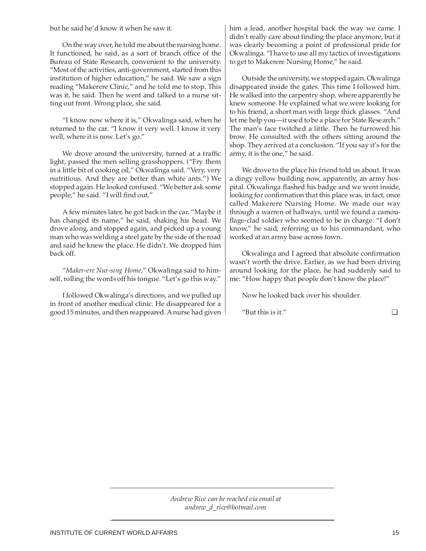but he said he'd know it when he saw it.

On the way over, he told me about the nursing home. It functioned, he said, as a sort of branch office of the Bureau of State Research, convenient to the university. "Most of the activities, anti-government, started from this institution of higher education," he said. We saw a sign reading "Makerere Clinic," and he told me to stop. This was it, he said. Then he went and talked to a nurse sitting out front. Wrong place, she said.

"I know now where it is," Okwalinga said, when he returned to the car. "I know it very well. I know it very well, where it is now. Let's go."

We drove around the university, turned at a traffic light, passed the men selling grasshoppers. ("Fry them in a little bit of cooking oil," Okwalinga said. "Very, very nutritious. And they are better than white ants.") We stopped again. He looked confused. "We better ask some people," he said. "I will find out."

A few minutes later, he got back in the car. "Maybe it has changed its name," he said, shaking his head. We drove along, and stopped again, and picked up a young man who was welding a steel gate by the side of the road and said he knew the place. He didn't. We dropped him back off.

"*Maker-ere Nur-sing Home*," Okwalinga said to himself, rolling the words off his tongue. "Let's go this way."

I followed Okwalinga's directions, and we pulled up in front of another medical clinic. He disappeared for a good 15 minutes, and then reappeared. A nurse had given

him a lead, another hospital back the way we came. I didn't really care about finding the place anymore, but it was clearly becoming a point of professional pride for Okwalinga. "I have to use all my tactics of investigations to get to Makerere Nursing Home," he said.

Outside the university, we stopped again. Okwalinga disappeared inside the gates. This time I followed him. He walked into the carpentry shop, where apparently he knew someone. He explained what we were looking for to his friend, a short man with large thick glasses. "And let me help you—it used to be a place for State Research." The man's face twitched a little. Then he furrowed his brow. He consulted with the others sitting around the shop. They arrived at a conclusion. "If you say it's for the army, it is the one," he said.

We drove to the place his friend told us about. It was a dingy yellow building now, apparently, an army hospital. Okwalinga flashed his badge and we went inside, looking for confirmation that this place was, in fact, once called Makerere Nursing Home. We made our way through a warren of hallways, until we found a camouflage-clad soldier who seemed to be in charge. "I don't know," he said, referring us to his commandant, who worked at an army base across town.

Okwalinga and I agreed that absolute confirmation wasn't worth the drive. Earlier, as we had been driving around looking for the place, he had suddenly said to me: "How happy that people don't know the place!"

Now he looked back over his shoulder.

"But this is it."  $\Box$ 

*Andrew Rice can be reached via email at andrew\_d\_rice@hotmail.com*